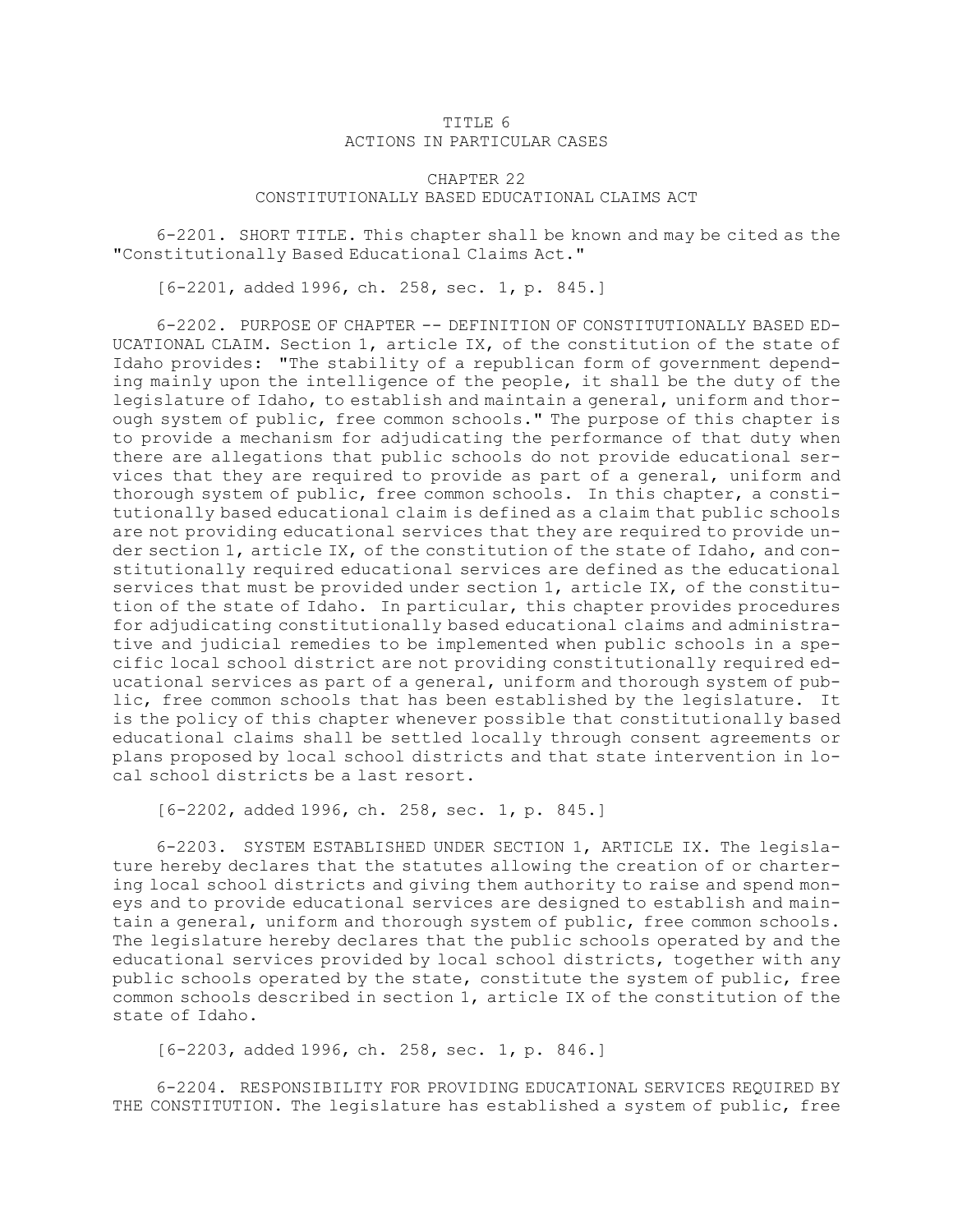## TITLE 6 ACTIONS IN PARTICULAR CASES

## CHAPTER 22 CONSTITUTIONALLY BASED EDUCATIONAL CLAIMS ACT

6-2201. SHORT TITLE. This chapter shall be known and may be cited as the "Constitutionally Based Educational Claims Act."

[6-2201, added 1996, ch. 258, sec. 1, p. 845.]

6-2202. PURPOSE OF CHAPTER -- DEFINITION OF CONSTITUTIONALLY BASED ED-UCATIONAL CLAIM. Section 1, article IX, of the constitution of the state of Idaho provides: "The stability of <sup>a</sup> republican form of government depending mainly upon the intelligence of the people, it shall be the duty of the legislature of Idaho, to establish and maintain <sup>a</sup> general, uniform and thorough system of public, free common schools." The purpose of this chapter is to provide <sup>a</sup> mechanism for adjudicating the performance of that duty when there are allegations that public schools do not provide educational services that they are required to provide as part of <sup>a</sup> general, uniform and thorough system of public, free common schools. In this chapter, <sup>a</sup> constitutionally based educational claim is defined as <sup>a</sup> claim that public schools are not providing educational services that they are required to provide under section 1, article IX, of the constitution of the state of Idaho, and constitutionally required educational services are defined as the educational services that must be provided under section 1, article IX, of the constitution of the state of Idaho. In particular, this chapter provides procedures for adjudicating constitutionally based educational claims and administrative and judicial remedies to be implemented when public schools in <sup>a</sup> specific local school district are not providing constitutionally required educational services as part of <sup>a</sup> general, uniform and thorough system of public, free common schools that has been established by the legislature. It is the policy of this chapter whenever possible that constitutionally based educational claims shall be settled locally through consent agreements or plans proposed by local school districts and that state intervention in local school districts be <sup>a</sup> last resort.

[6-2202, added 1996, ch. 258, sec. 1, p. 845.]

6-2203. SYSTEM ESTABLISHED UNDER SECTION 1, ARTICLE IX. The legislature hereby declares that the statutes allowing the creation of or chartering local school districts and giving them authority to raise and spend moneys and to provide educational services are designed to establish and maintain <sup>a</sup> general, uniform and thorough system of public, free common schools. The legislature hereby declares that the public schools operated by and the educational services provided by local school districts, together with any public schools operated by the state, constitute the system of public, free common schools described in section 1, article IX of the constitution of the state of Idaho.

[6-2203, added 1996, ch. 258, sec. 1, p. 846.]

6-2204. RESPONSIBILITY FOR PROVIDING EDUCATIONAL SERVICES REQUIRED BY THE CONSTITUTION. The legislature has established <sup>a</sup> system of public, free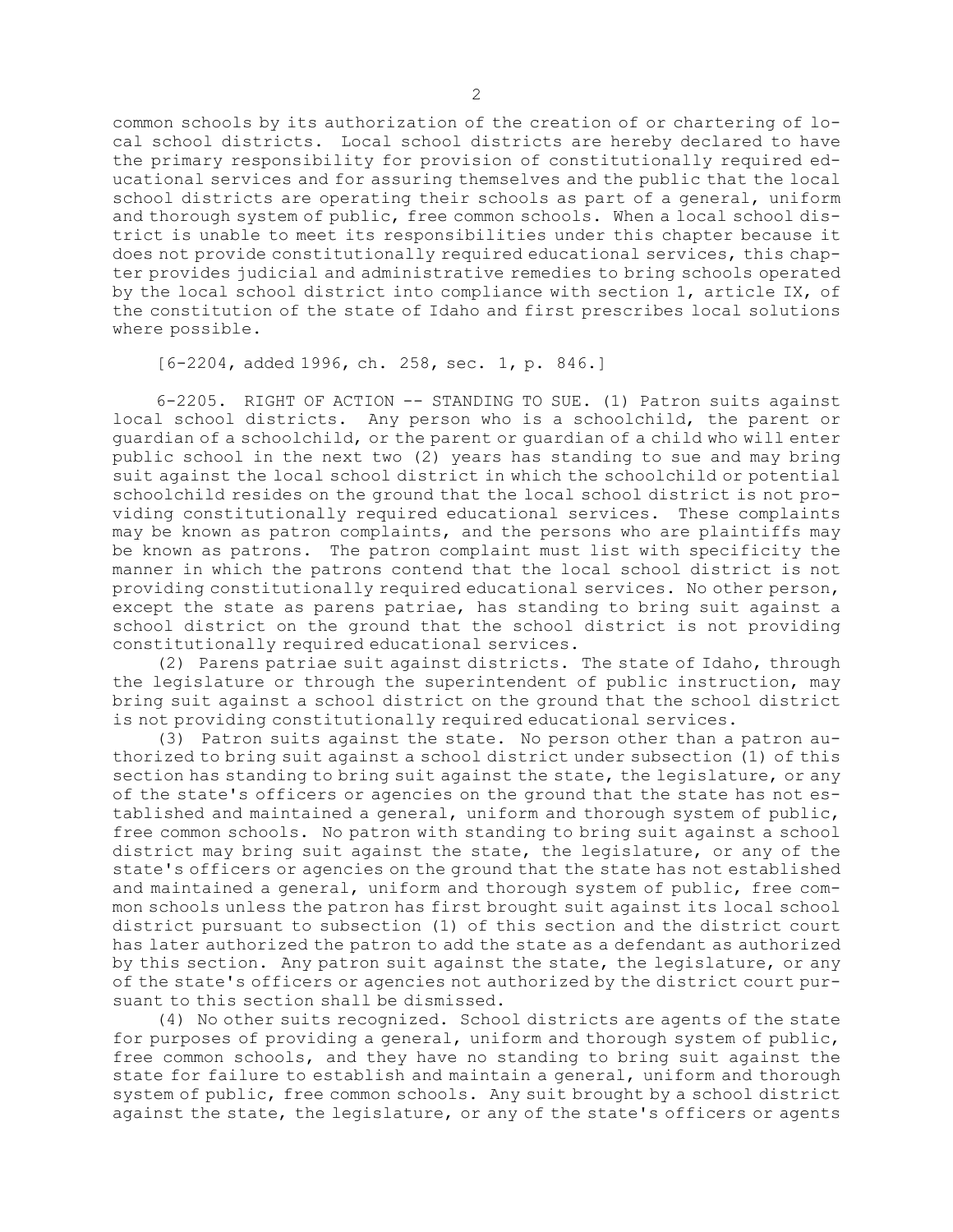common schools by its authorization of the creation of or chartering of local school districts. Local school districts are hereby declared to have the primary responsibility for provision of constitutionally required educational services and for assuring themselves and the public that the local school districts are operating their schools as part of <sup>a</sup> general, uniform and thorough system of public, free common schools. When <sup>a</sup> local school district is unable to meet its responsibilities under this chapter because it does not provide constitutionally required educational services, this chapter provides judicial and administrative remedies to bring schools operated by the local school district into compliance with section 1, article IX, of the constitution of the state of Idaho and first prescribes local solutions where possible.

[6-2204, added 1996, ch. 258, sec. 1, p. 846.]

6-2205. RIGHT OF ACTION -- STANDING TO SUE. (1) Patron suits against local school districts. Any person who is <sup>a</sup> schoolchild, the parent or guardian of <sup>a</sup> schoolchild, or the parent or guardian of <sup>a</sup> child who will enter public school in the next two (2) years has standing to sue and may bring suit against the local school district in which the schoolchild or potential schoolchild resides on the ground that the local school district is not providing constitutionally required educational services. These complaints may be known as patron complaints, and the persons who are plaintiffs may be known as patrons. The patron complaint must list with specificity the manner in which the patrons contend that the local school district is not providing constitutionally required educational services. No other person, except the state as parens patriae, has standing to bring suit against <sup>a</sup> school district on the ground that the school district is not providing constitutionally required educational services.

(2) Parens patriae suit against districts. The state of Idaho, through the legislature or through the superintendent of public instruction, may bring suit against <sup>a</sup> school district on the ground that the school district is not providing constitutionally required educational services.

(3) Patron suits against the state. No person other than <sup>a</sup> patron authorized to bring suit against <sup>a</sup> school district under subsection (1) of this section has standing to bring suit against the state, the legislature, or any of the state's officers or agencies on the ground that the state has not established and maintained <sup>a</sup> general, uniform and thorough system of public, free common schools. No patron with standing to bring suit against <sup>a</sup> school district may bring suit against the state, the legislature, or any of the state's officers or agencies on the ground that the state has not established and maintained <sup>a</sup> general, uniform and thorough system of public, free common schools unless the patron has first brought suit against its local school district pursuant to subsection (1) of this section and the district court has later authorized the patron to add the state as <sup>a</sup> defendant as authorized by this section. Any patron suit against the state, the legislature, or any of the state's officers or agencies not authorized by the district court pursuant to this section shall be dismissed.

(4) No other suits recognized. School districts are agents of the state for purposes of providing <sup>a</sup> general, uniform and thorough system of public, free common schools, and they have no standing to bring suit against the state for failure to establish and maintain <sup>a</sup> general, uniform and thorough system of public, free common schools. Any suit brought by <sup>a</sup> school district against the state, the legislature, or any of the state's officers or agents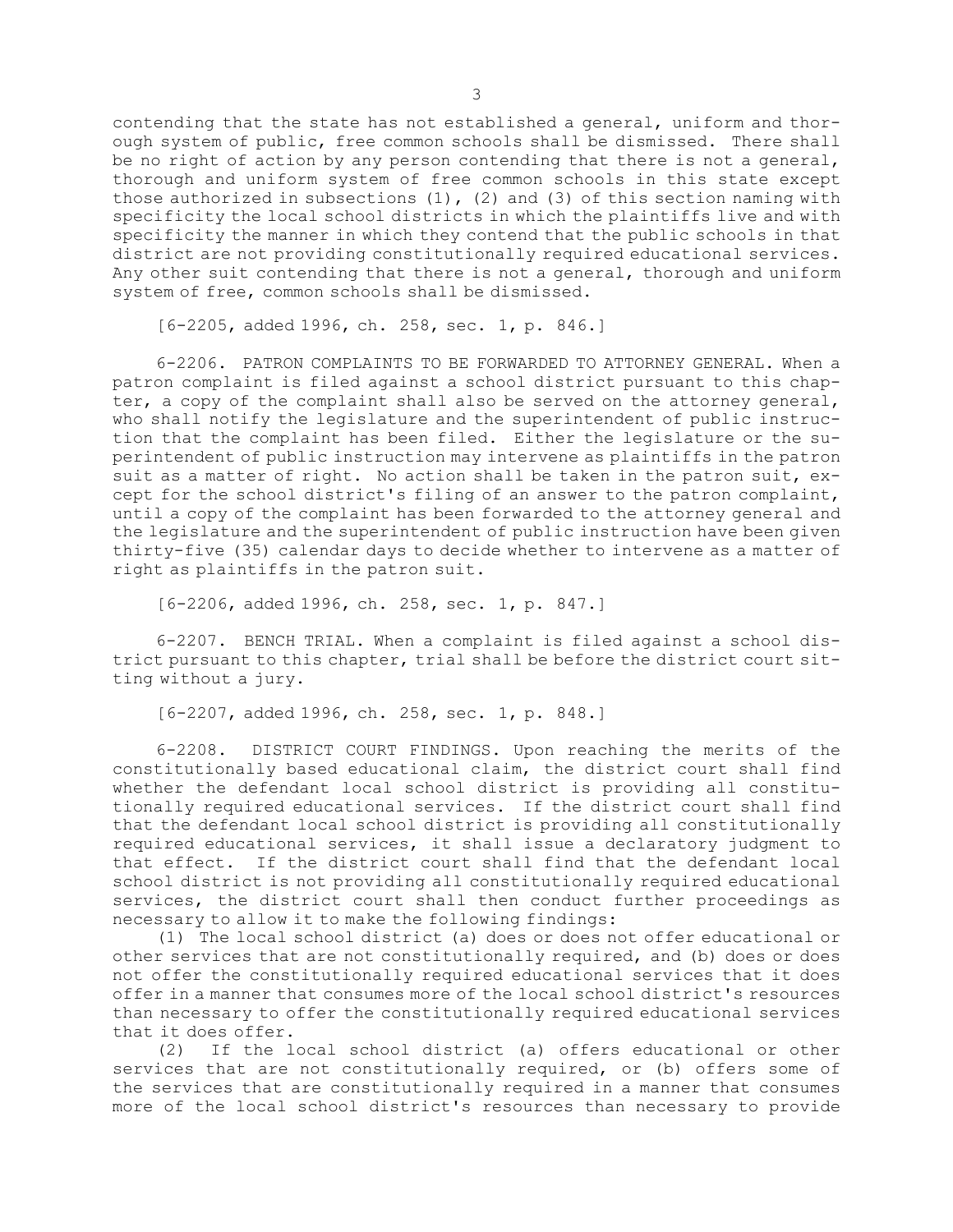contending that the state has not established <sup>a</sup> general, uniform and thorough system of public, free common schools shall be dismissed. There shall be no right of action by any person contending that there is not a general, thorough and uniform system of free common schools in this state except those authorized in subsections  $(1)$ ,  $(2)$  and  $(3)$  of this section naming with specificity the local school districts in which the plaintiffs live and with specificity the manner in which they contend that the public schools in that district are not providing constitutionally required educational services. Any other suit contending that there is not <sup>a</sup> general, thorough and uniform system of free, common schools shall be dismissed.

[6-2205, added 1996, ch. 258, sec. 1, p. 846.]

6-2206. PATRON COMPLAINTS TO BE FORWARDED TO ATTORNEY GENERAL. When a patron complaint is filed against <sup>a</sup> school district pursuant to this chapter, <sup>a</sup> copy of the complaint shall also be served on the attorney general, who shall notify the legislature and the superintendent of public instruction that the complaint has been filed. Either the legislature or the superintendent of public instruction may intervene as plaintiffs in the patron suit as <sup>a</sup> matter of right. No action shall be taken in the patron suit, except for the school district's filing of an answer to the patron complaint, until <sup>a</sup> copy of the complaint has been forwarded to the attorney general and the legislature and the superintendent of public instruction have been given thirty-five (35) calendar days to decide whether to intervene as <sup>a</sup> matter of right as plaintiffs in the patron suit.

[6-2206, added 1996, ch. 258, sec. 1, p. 847.]

6-2207. BENCH TRIAL. When <sup>a</sup> complaint is filed against <sup>a</sup> school district pursuant to this chapter, trial shall be before the district court sitting without <sup>a</sup> jury.

[6-2207, added 1996, ch. 258, sec. 1, p. 848.]

6-2208. DISTRICT COURT FINDINGS. Upon reaching the merits of the constitutionally based educational claim, the district court shall find whether the defendant local school district is providing all constitutionally required educational services. If the district court shall find that the defendant local school district is providing all constitutionally required educational services, it shall issue <sup>a</sup> declaratory judgment to that effect. If the district court shall find that the defendant local school district is not providing all constitutionally required educational services, the district court shall then conduct further proceedings as necessary to allow it to make the following findings:

(1) The local school district (a) does or does not offer educational or other services that are not constitutionally required, and (b) does or does not offer the constitutionally required educational services that it does offer in <sup>a</sup> manner that consumes more of the local school district's resources than necessary to offer the constitutionally required educational services that it does offer.

(2) If the local school district (a) offers educational or other services that are not constitutionally required, or (b) offers some of the services that are constitutionally required in <sup>a</sup> manner that consumes more of the local school district's resources than necessary to provide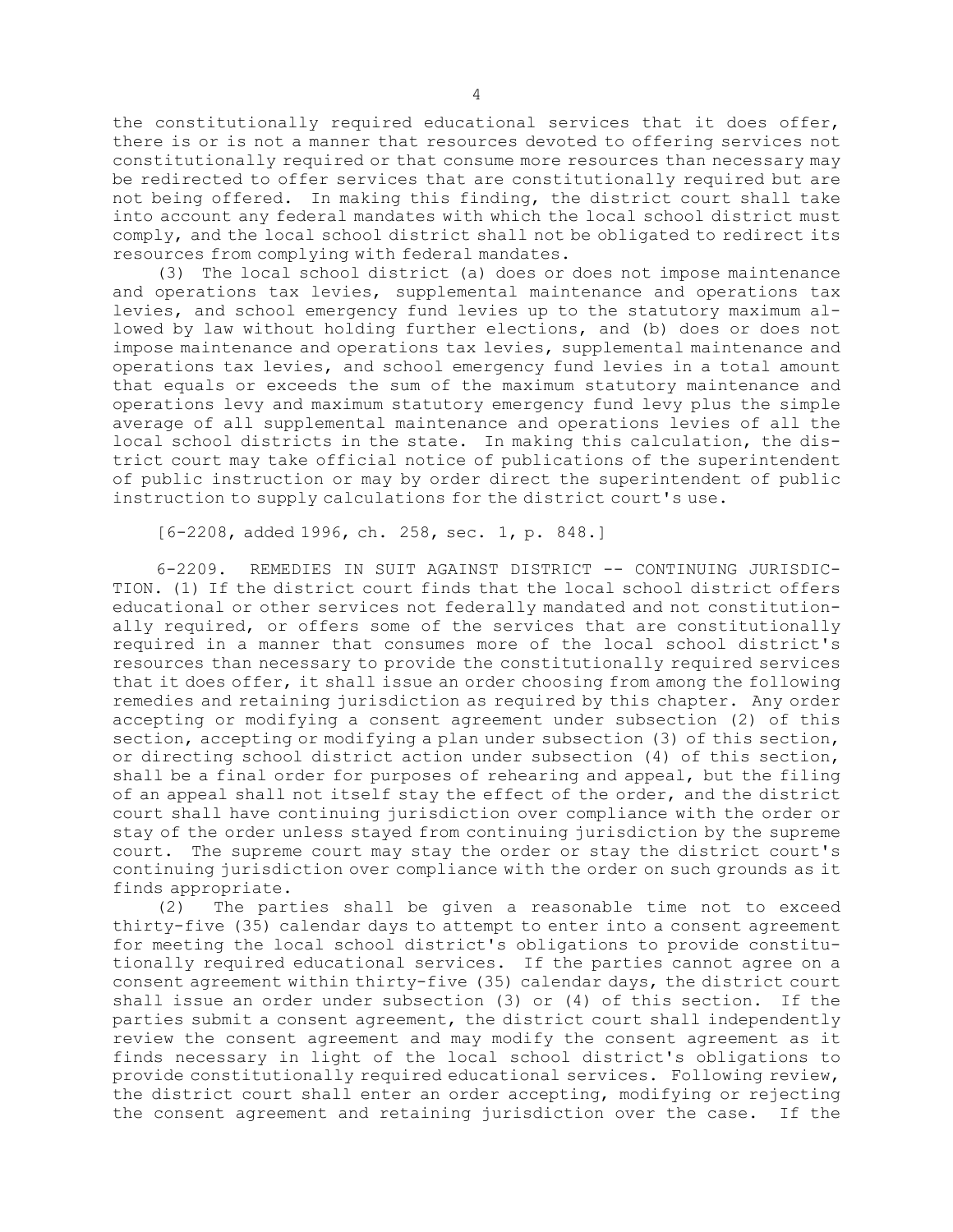the constitutionally required educational services that it does offer, there is or is not <sup>a</sup> manner that resources devoted to offering services not constitutionally required or that consume more resources than necessary may be redirected to offer services that are constitutionally required but are not being offered. In making this finding, the district court shall take into account any federal mandates with which the local school district must comply, and the local school district shall not be obligated to redirect its resources from complying with federal mandates.

(3) The local school district (a) does or does not impose maintenance and operations tax levies, supplemental maintenance and operations tax levies, and school emergency fund levies up to the statutory maximum allowed by law without holding further elections, and (b) does or does not impose maintenance and operations tax levies, supplemental maintenance and operations tax levies, and school emergency fund levies in <sup>a</sup> total amount that equals or exceeds the sum of the maximum statutory maintenance and operations levy and maximum statutory emergency fund levy plus the simple average of all supplemental maintenance and operations levies of all the local school districts in the state. In making this calculation, the district court may take official notice of publications of the superintendent of public instruction or may by order direct the superintendent of public instruction to supply calculations for the district court's use.

[6-2208, added 1996, ch. 258, sec. 1, p. 848.]

6-2209. REMEDIES IN SUIT AGAINST DISTRICT -- CONTINUING JURISDIC-TION. (1) If the district court finds that the local school district offers educational or other services not federally mandated and not constitutionally required, or offers some of the services that are constitutionally required in <sup>a</sup> manner that consumes more of the local school district's resources than necessary to provide the constitutionally required services that it does offer, it shall issue an order choosing from among the following remedies and retaining jurisdiction as required by this chapter. Any order accepting or modifying <sup>a</sup> consent agreement under subsection (2) of this section, accepting or modifying a plan under subsection (3) of this section, or directing school district action under subsection (4) of this section, shall be <sup>a</sup> final order for purposes of rehearing and appeal, but the filing of an appeal shall not itself stay the effect of the order, and the district court shall have continuing jurisdiction over compliance with the order or stay of the order unless stayed from continuing jurisdiction by the supreme court. The supreme court may stay the order or stay the district court's continuing jurisdiction over compliance with the order on such grounds as it finds appropriate.

(2) The parties shall be given <sup>a</sup> reasonable time not to exceed thirty-five (35) calendar days to attempt to enter into <sup>a</sup> consent agreement for meeting the local school district's obligations to provide constitutionally required educational services. If the parties cannot agree on <sup>a</sup> consent agreement within thirty-five (35) calendar days, the district court shall issue an order under subsection (3) or (4) of this section. If the parties submit <sup>a</sup> consent agreement, the district court shall independently review the consent agreement and may modify the consent agreement as it finds necessary in light of the local school district's obligations to provide constitutionally required educational services. Following review, the district court shall enter an order accepting, modifying or rejecting the consent agreement and retaining jurisdiction over the case. If the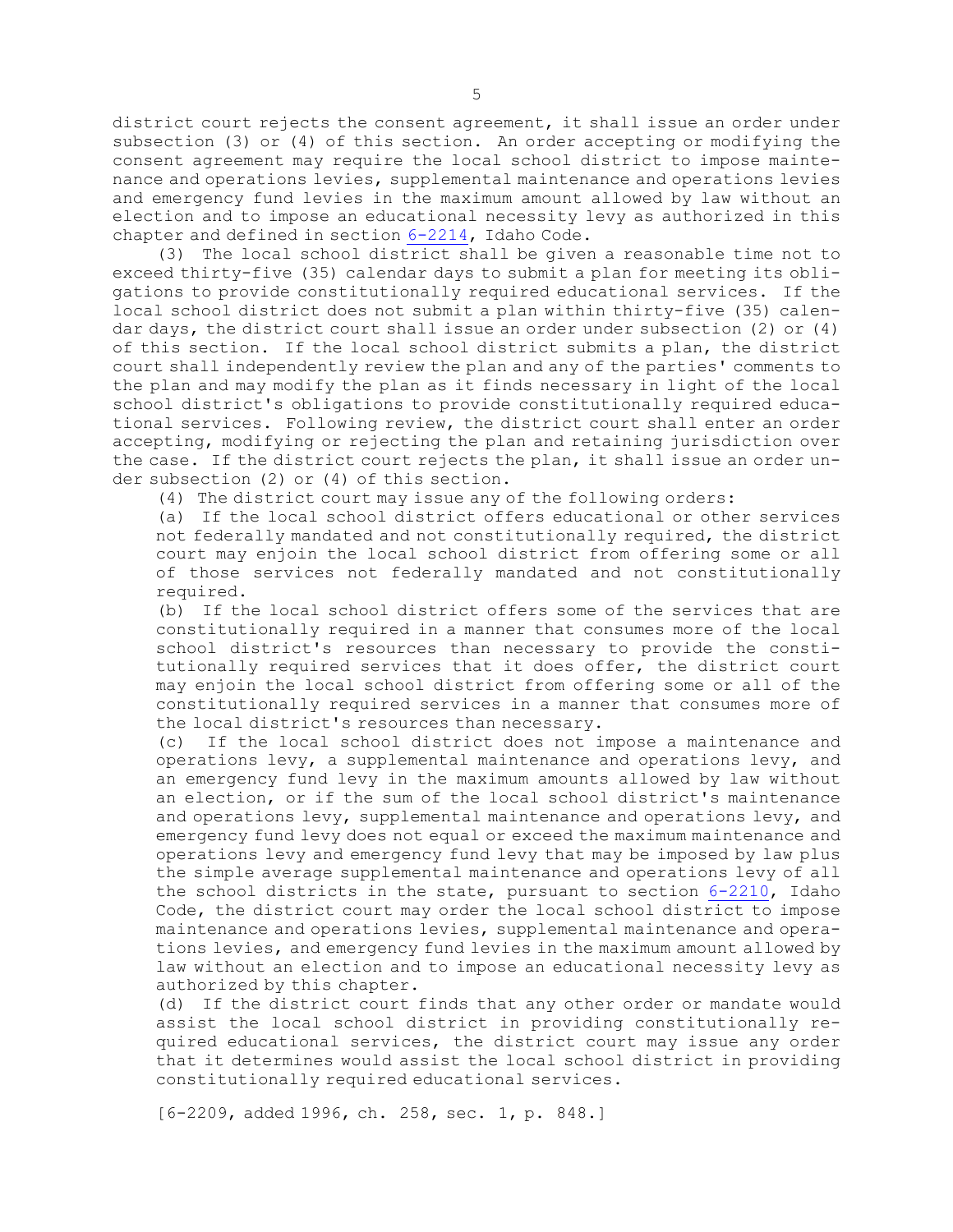district court rejects the consent agreement, it shall issue an order under subsection (3) or (4) of this section. An order accepting or modifying the consent agreement may require the local school district to impose maintenance and operations levies, supplemental maintenance and operations levies and emergency fund levies in the maximum amount allowed by law without an election and to impose an educational necessity levy as authorized in this chapter and defined in section [6-2214](https://legislature.idaho.gov/statutesrules/idstat/Title6/T6CH22/SECT6-2214), Idaho Code.

(3) The local school district shall be given <sup>a</sup> reasonable time not to exceed thirty-five (35) calendar days to submit <sup>a</sup> plan for meeting its obligations to provide constitutionally required educational services. If the local school district does not submit <sup>a</sup> plan within thirty-five (35) calendar days, the district court shall issue an order under subsection (2) or (4) of this section. If the local school district submits <sup>a</sup> plan, the district court shall independently review the plan and any of the parties' comments to the plan and may modify the plan as it finds necessary in light of the local school district's obligations to provide constitutionally required educational services. Following review, the district court shall enter an order accepting, modifying or rejecting the plan and retaining jurisdiction over the case. If the district court rejects the plan, it shall issue an order under subsection (2) or (4) of this section.

(4) The district court may issue any of the following orders:

(a) If the local school district offers educational or other services not federally mandated and not constitutionally required, the district court may enjoin the local school district from offering some or all of those services not federally mandated and not constitutionally required.

(b) If the local school district offers some of the services that are constitutionally required in <sup>a</sup> manner that consumes more of the local school district's resources than necessary to provide the constitutionally required services that it does offer, the district court may enjoin the local school district from offering some or all of the constitutionally required services in <sup>a</sup> manner that consumes more of the local district's resources than necessary.

(c) If the local school district does not impose <sup>a</sup> maintenance and operations levy, <sup>a</sup> supplemental maintenance and operations levy, and an emergency fund levy in the maximum amounts allowed by law without an election, or if the sum of the local school district's maintenance and operations levy, supplemental maintenance and operations levy, and emergency fund levy does not equal or exceed the maximum maintenance and operations levy and emergency fund levy that may be imposed by law plus the simple average supplemental maintenance and operations levy of all the school districts in the state, pursuant to section [6-2210](https://legislature.idaho.gov/statutesrules/idstat/Title6/T6CH22/SECT6-2210), Idaho Code, the district court may order the local school district to impose maintenance and operations levies, supplemental maintenance and operations levies, and emergency fund levies in the maximum amount allowed by law without an election and to impose an educational necessity levy as authorized by this chapter.

(d) If the district court finds that any other order or mandate would assist the local school district in providing constitutionally required educational services, the district court may issue any order that it determines would assist the local school district in providing constitutionally required educational services.

[6-2209, added 1996, ch. 258, sec. 1, p. 848.]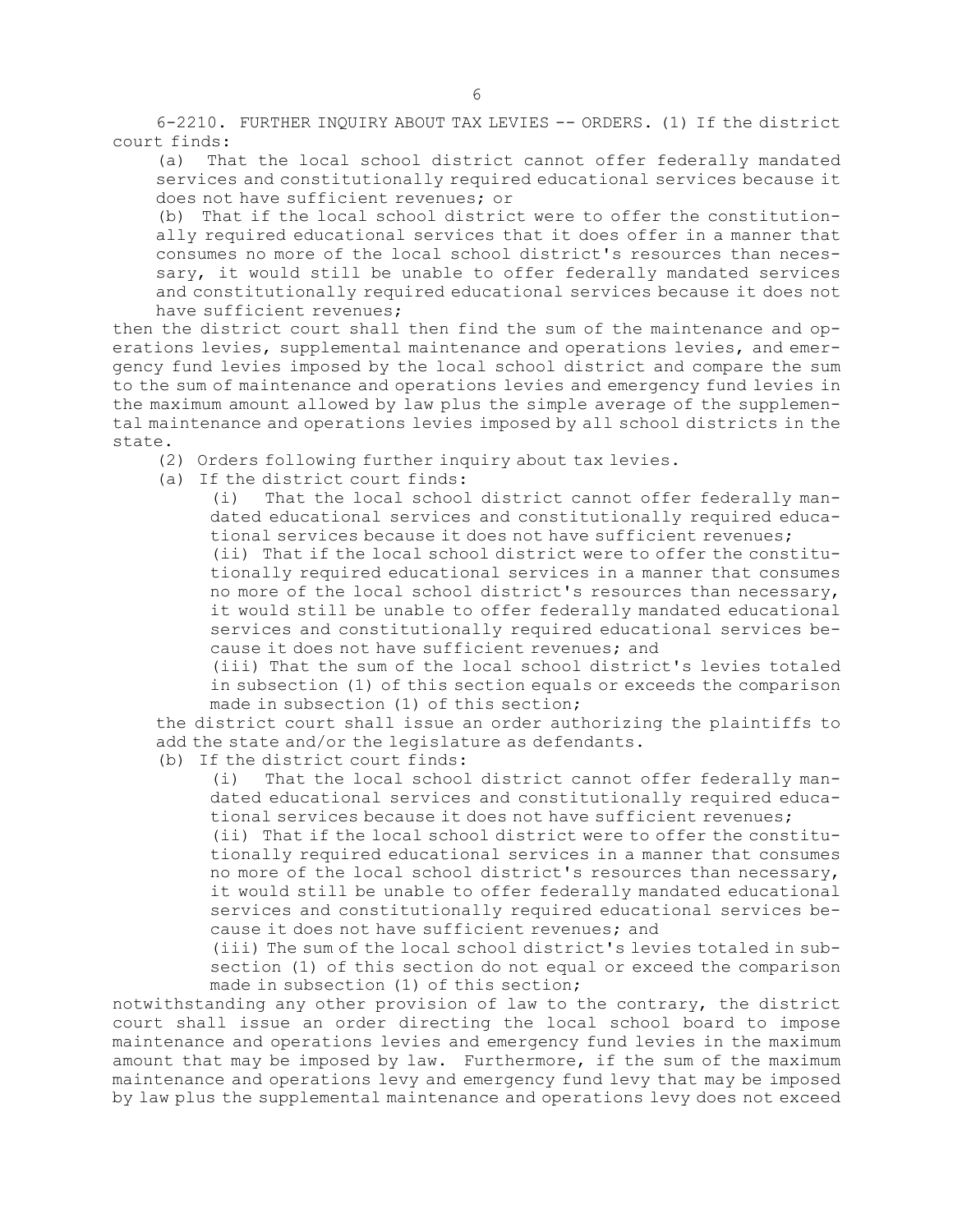6-2210. FURTHER INQUIRY ABOUT TAX LEVIES -- ORDERS. (1) If the district court finds:

(a) That the local school district cannot offer federally mandated services and constitutionally required educational services because it does not have sufficient revenues; or

(b) That if the local school district were to offer the constitutionally required educational services that it does offer in <sup>a</sup> manner that consumes no more of the local school district's resources than necessary, it would still be unable to offer federally mandated services and constitutionally required educational services because it does not have sufficient revenues;

then the district court shall then find the sum of the maintenance and operations levies, supplemental maintenance and operations levies, and emergency fund levies imposed by the local school district and compare the sum to the sum of maintenance and operations levies and emergency fund levies in the maximum amount allowed by law plus the simple average of the supplemental maintenance and operations levies imposed by all school districts in the state.

(2) Orders following further inquiry about tax levies.

(a) If the district court finds:

(i) That the local school district cannot offer federally mandated educational services and constitutionally required educational services because it does not have sufficient revenues;

(ii) That if the local school district were to offer the constitutionally required educational services in <sup>a</sup> manner that consumes no more of the local school district's resources than necessary, it would still be unable to offer federally mandated educational services and constitutionally required educational services because it does not have sufficient revenues; and

(iii) That the sum of the local school district's levies totaled in subsection (1) of this section equals or exceeds the comparison made in subsection (1) of this section;

the district court shall issue an order authorizing the plaintiffs to add the state and/or the legislature as defendants.

(b) If the district court finds:

(i) That the local school district cannot offer federally mandated educational services and constitutionally required educational services because it does not have sufficient revenues;

(ii) That if the local school district were to offer the constitutionally required educational services in <sup>a</sup> manner that consumes no more of the local school district's resources than necessary, it would still be unable to offer federally mandated educational services and constitutionally required educational services because it does not have sufficient revenues; and

(iii) The sum of the local school district's levies totaled in subsection (1) of this section do not equal or exceed the comparison made in subsection (1) of this section;

notwithstanding any other provision of law to the contrary, the district court shall issue an order directing the local school board to impose maintenance and operations levies and emergency fund levies in the maximum amount that may be imposed by law. Furthermore, if the sum of the maximum maintenance and operations levy and emergency fund levy that may be imposed by law plus the supplemental maintenance and operations levy does not exceed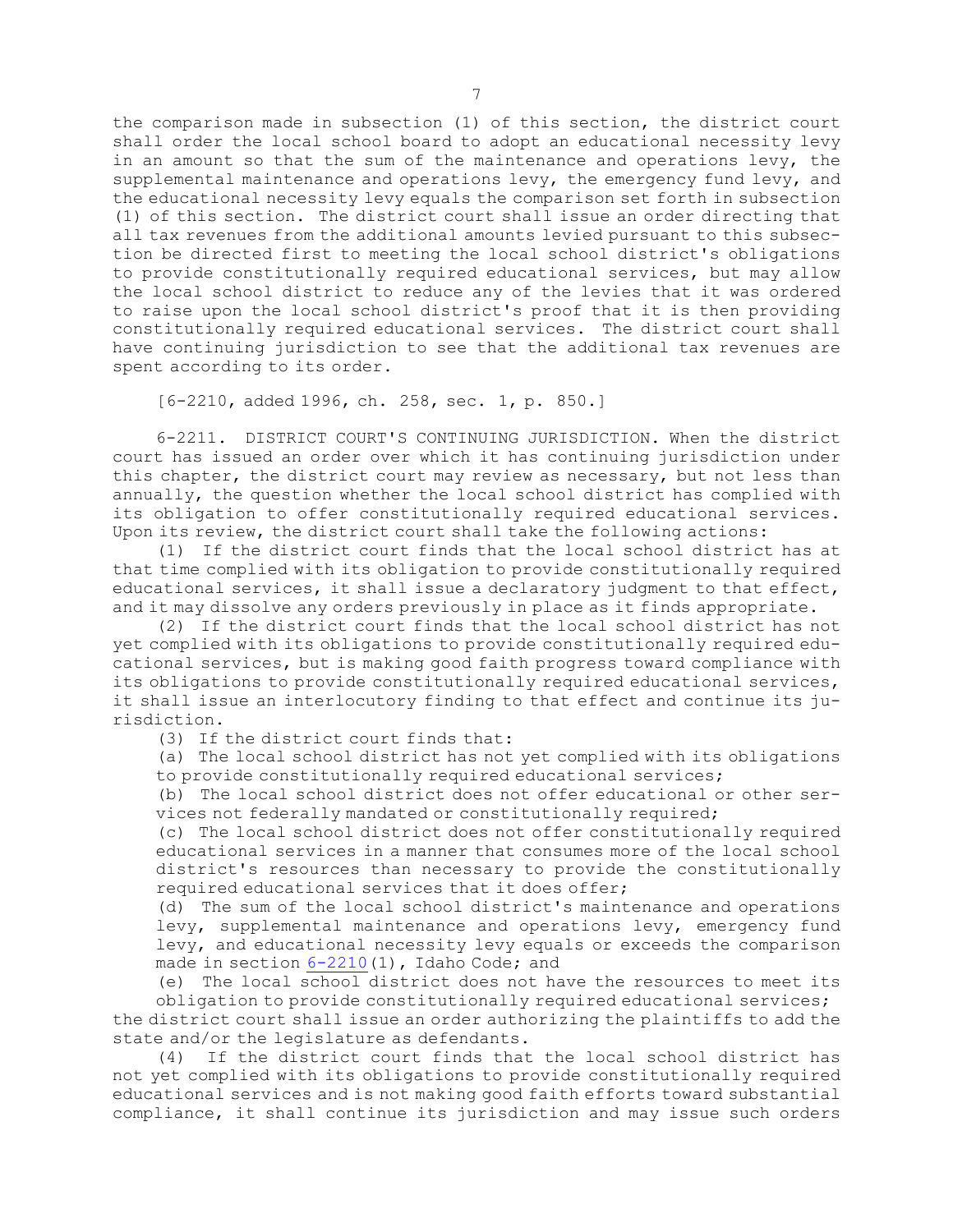the comparison made in subsection (1) of this section, the district court shall order the local school board to adopt an educational necessity levy in an amount so that the sum of the maintenance and operations levy, the supplemental maintenance and operations levy, the emergency fund levy, and the educational necessity levy equals the comparison set forth in subsection (1) of this section. The district court shall issue an order directing that all tax revenues from the additional amounts levied pursuant to this subsection be directed first to meeting the local school district's obligations to provide constitutionally required educational services, but may allow the local school district to reduce any of the levies that it was ordered to raise upon the local school district's proof that it is then providing constitutionally required educational services. The district court shall have continuing jurisdiction to see that the additional tax revenues are spent according to its order.

[6-2210, added 1996, ch. 258, sec. 1, p. 850.]

6-2211. DISTRICT COURT'S CONTINUING JURISDICTION. When the district court has issued an order over which it has continuing jurisdiction under this chapter, the district court may review as necessary, but not less than annually, the question whether the local school district has complied with its obligation to offer constitutionally required educational services. Upon its review, the district court shall take the following actions:

(1) If the district court finds that the local school district has at that time complied with its obligation to provide constitutionally required educational services, it shall issue <sup>a</sup> declaratory judgment to that effect, and it may dissolve any orders previously in place as it finds appropriate.

(2) If the district court finds that the local school district has not yet complied with its obligations to provide constitutionally required educational services, but is making good faith progress toward compliance with its obligations to provide constitutionally required educational services, it shall issue an interlocutory finding to that effect and continue its jurisdiction.

(3) If the district court finds that:

(a) The local school district has not yet complied with its obligations to provide constitutionally required educational services;

(b) The local school district does not offer educational or other services not federally mandated or constitutionally required;

(c) The local school district does not offer constitutionally required educational services in <sup>a</sup> manner that consumes more of the local school district's resources than necessary to provide the constitutionally required educational services that it does offer;

(d) The sum of the local school district's maintenance and operations levy, supplemental maintenance and operations levy, emergency fund levy, and educational necessity levy equals or exceeds the comparison made in section  $6-2210(1)$  $6-2210(1)$ , Idaho Code; and

(e) The local school district does not have the resources to meet its

obligation to provide constitutionally required educational services; the district court shall issue an order authorizing the plaintiffs to add the state and/or the legislature as defendants.

(4) If the district court finds that the local school district has not yet complied with its obligations to provide constitutionally required educational services and is not making good faith efforts toward substantial compliance, it shall continue its jurisdiction and may issue such orders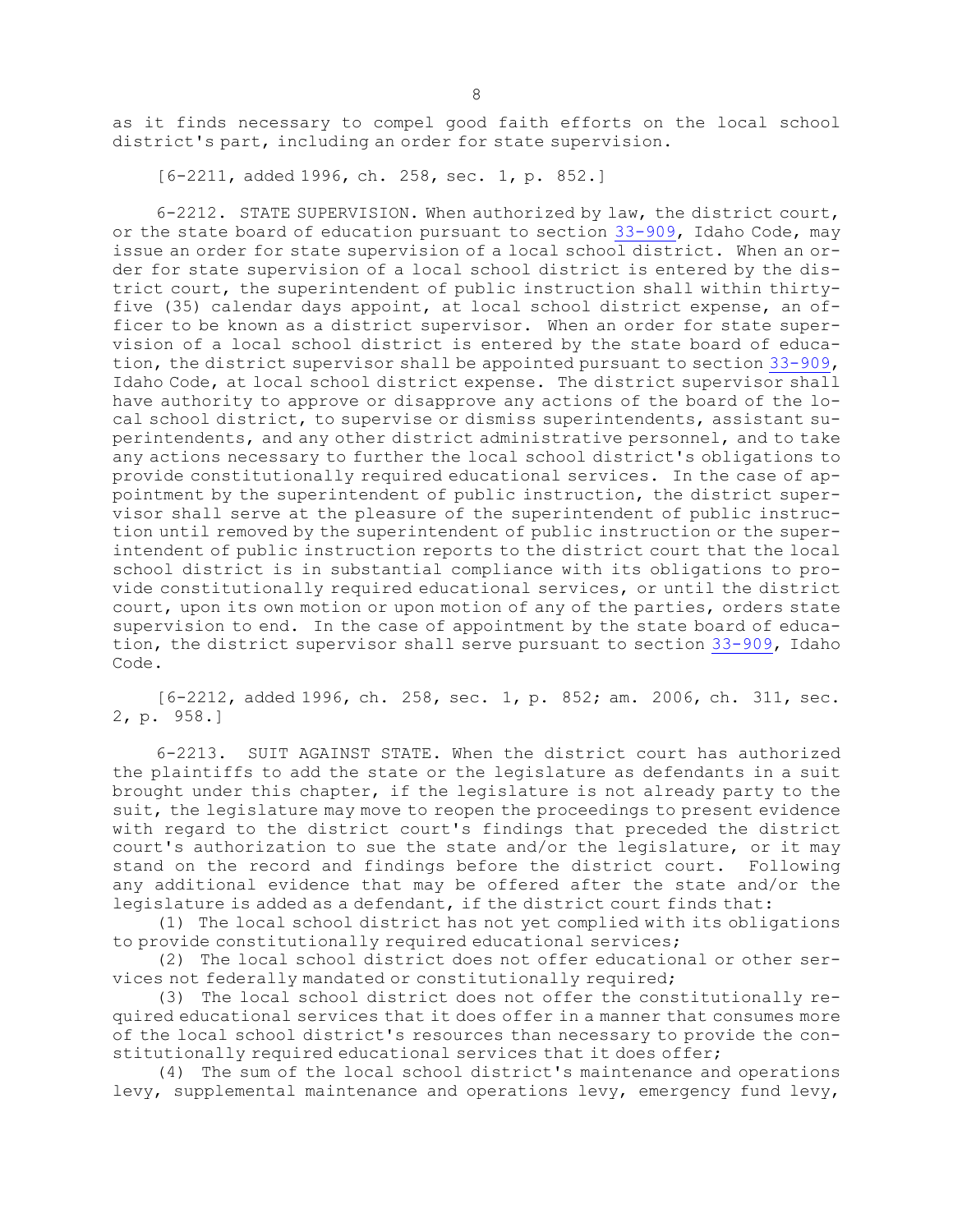as it finds necessary to compel good faith efforts on the local school district's part, including an order for state supervision.

[6-2211, added 1996, ch. 258, sec. 1, p. 852.]

6-2212. STATE SUPERVISION. When authorized by law, the district court, or the state board of education pursuant to section [33-909](https://legislature.idaho.gov/statutesrules/idstat/Title33/T33CH9/SECT33-909), Idaho Code, may issue an order for state supervision of <sup>a</sup> local school district. When an order for state supervision of <sup>a</sup> local school district is entered by the district court, the superintendent of public instruction shall within thirtyfive (35) calendar days appoint, at local school district expense, an officer to be known as <sup>a</sup> district supervisor. When an order for state supervision of <sup>a</sup> local school district is entered by the state board of education, the district supervisor shall be appointed pursuant to section [33-909](https://legislature.idaho.gov/statutesrules/idstat/Title33/T33CH9/SECT33-909), Idaho Code, at local school district expense. The district supervisor shall have authority to approve or disapprove any actions of the board of the local school district, to supervise or dismiss superintendents, assistant superintendents, and any other district administrative personnel, and to take any actions necessary to further the local school district's obligations to provide constitutionally required educational services. In the case of appointment by the superintendent of public instruction, the district supervisor shall serve at the pleasure of the superintendent of public instruction until removed by the superintendent of public instruction or the superintendent of public instruction reports to the district court that the local school district is in substantial compliance with its obligations to provide constitutionally required educational services, or until the district court, upon its own motion or upon motion of any of the parties, orders state supervision to end. In the case of appointment by the state board of education, the district supervisor shall serve pursuant to section [33-909](https://legislature.idaho.gov/statutesrules/idstat/Title33/T33CH9/SECT33-909), Idaho Code.

[6-2212, added 1996, ch. 258, sec. 1, p. 852; am. 2006, ch. 311, sec. 2, p. 958.]

6-2213. SUIT AGAINST STATE. When the district court has authorized the plaintiffs to add the state or the legislature as defendants in <sup>a</sup> suit brought under this chapter, if the legislature is not already party to the suit, the legislature may move to reopen the proceedings to present evidence with regard to the district court's findings that preceded the district court's authorization to sue the state and/or the legislature, or it may stand on the record and findings before the district court. Following any additional evidence that may be offered after the state and/or the legislature is added as <sup>a</sup> defendant, if the district court finds that:

(1) The local school district has not yet complied with its obligations to provide constitutionally required educational services;

(2) The local school district does not offer educational or other services not federally mandated or constitutionally required;

(3) The local school district does not offer the constitutionally required educational services that it does offer in <sup>a</sup> manner that consumes more of the local school district's resources than necessary to provide the constitutionally required educational services that it does offer;

(4) The sum of the local school district's maintenance and operations levy, supplemental maintenance and operations levy, emergency fund levy,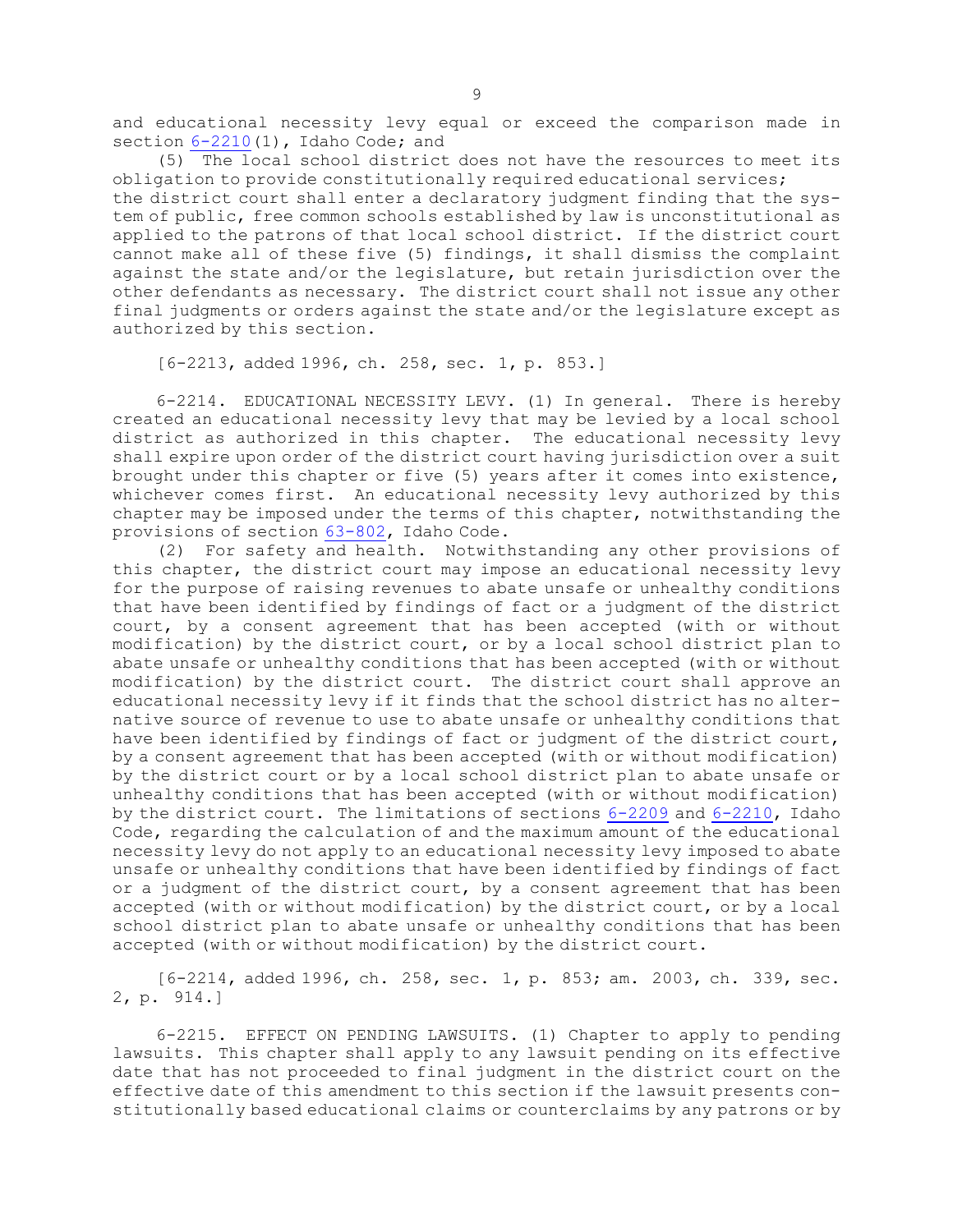and educational necessity levy equal or exceed the comparison made in section  $6-2210(1)$  $6-2210(1)$ , Idaho Code; and

(5) The local school district does not have the resources to meet its obligation to provide constitutionally required educational services; the district court shall enter <sup>a</sup> declaratory judgment finding that the system of public, free common schools established by law is unconstitutional as applied to the patrons of that local school district. If the district court cannot make all of these five (5) findings, it shall dismiss the complaint against the state and/or the legislature, but retain jurisdiction over the other defendants as necessary. The district court shall not issue any other final judgments or orders against the state and/or the legislature except as authorized by this section.

[6-2213, added 1996, ch. 258, sec. 1, p. 853.]

6-2214. EDUCATIONAL NECESSITY LEVY. (1) In general. There is hereby created an educational necessity levy that may be levied by <sup>a</sup> local school district as authorized in this chapter. The educational necessity levy shall expire upon order of the district court having jurisdiction over <sup>a</sup> suit brought under this chapter or five (5) years after it comes into existence, whichever comes first. An educational necessity levy authorized by this chapter may be imposed under the terms of this chapter, notwithstanding the provisions of section [63-802](https://legislature.idaho.gov/statutesrules/idstat/Title63/T63CH8/SECT63-802), Idaho Code.

(2) For safety and health. Notwithstanding any other provisions of this chapter, the district court may impose an educational necessity levy for the purpose of raising revenues to abate unsafe or unhealthy conditions that have been identified by findings of fact or <sup>a</sup> judgment of the district court, by <sup>a</sup> consent agreement that has been accepted (with or without modification) by the district court, or by <sup>a</sup> local school district plan to abate unsafe or unhealthy conditions that has been accepted (with or without modification) by the district court. The district court shall approve an educational necessity levy if it finds that the school district has no alternative source of revenue to use to abate unsafe or unhealthy conditions that have been identified by findings of fact or judgment of the district court, by <sup>a</sup> consent agreement that has been accepted (with or without modification) by the district court or by <sup>a</sup> local school district plan to abate unsafe or unhealthy conditions that has been accepted (with or without modification) by the district court. The limitations of sections [6-2209](https://legislature.idaho.gov/statutesrules/idstat/Title6/T6CH22/SECT6-2209) and [6-2210](https://legislature.idaho.gov/statutesrules/idstat/Title6/T6CH22/SECT6-2210), Idaho Code, regarding the calculation of and the maximum amount of the educational necessity levy do not apply to an educational necessity levy imposed to abate unsafe or unhealthy conditions that have been identified by findings of fact or <sup>a</sup> judgment of the district court, by <sup>a</sup> consent agreement that has been accepted (with or without modification) by the district court, or by <sup>a</sup> local school district plan to abate unsafe or unhealthy conditions that has been accepted (with or without modification) by the district court.

[6-2214, added 1996, ch. 258, sec. 1, p. 853; am. 2003, ch. 339, sec. 2, p. 914.]

6-2215. EFFECT ON PENDING LAWSUITS. (1) Chapter to apply to pending lawsuits. This chapter shall apply to any lawsuit pending on its effective date that has not proceeded to final judgment in the district court on the effective date of this amendment to this section if the lawsuit presents constitutionally based educational claims or counterclaims by any patrons or by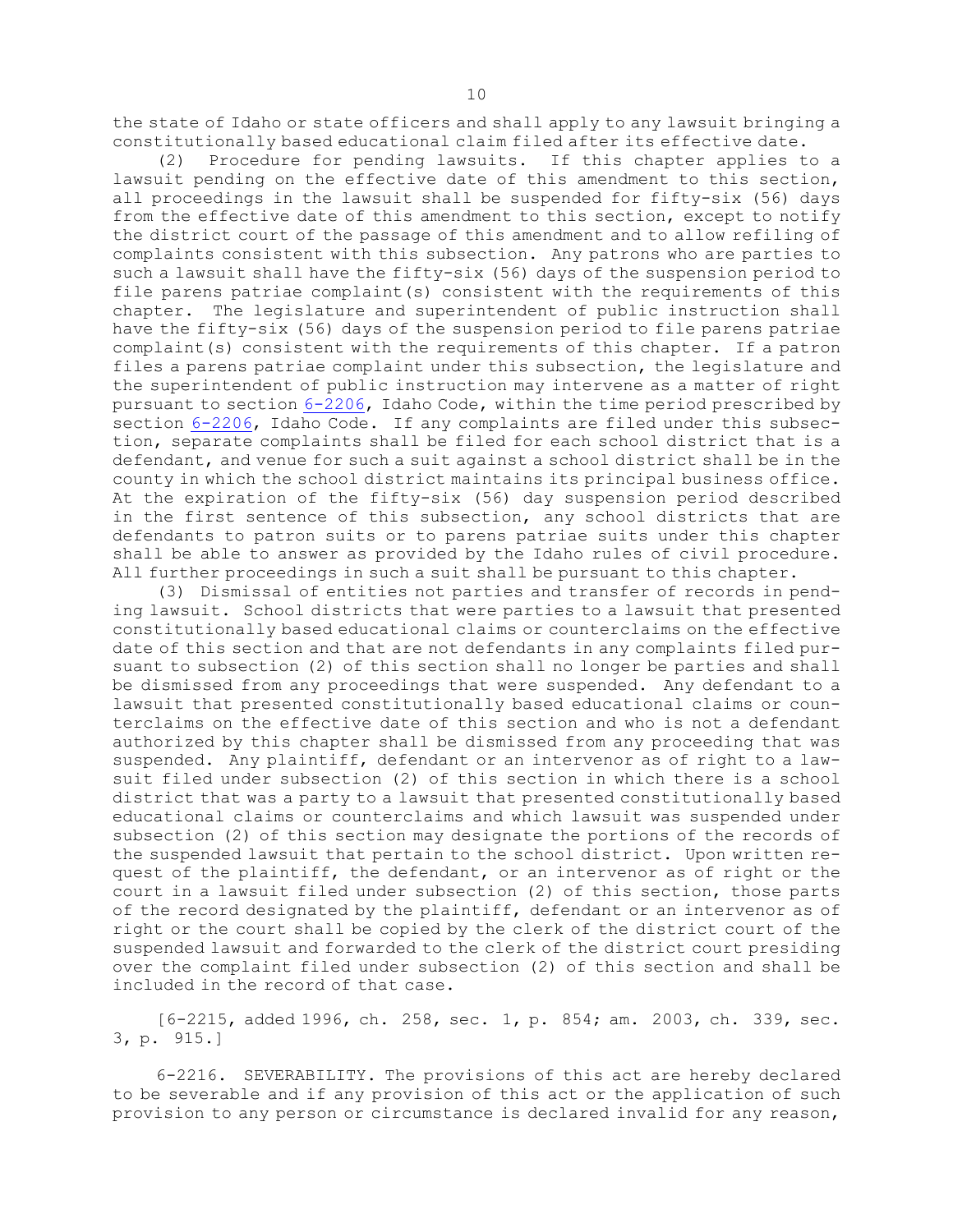the state of Idaho or state officers and shall apply to any lawsuit bringing <sup>a</sup> constitutionally based educational claim filed after its effective date.

(2) Procedure for pending lawsuits. If this chapter applies to <sup>a</sup> lawsuit pending on the effective date of this amendment to this section, all proceedings in the lawsuit shall be suspended for fifty-six (56) days from the effective date of this amendment to this section, except to notify the district court of the passage of this amendment and to allow refiling of complaints consistent with this subsection. Any patrons who are parties to such <sup>a</sup> lawsuit shall have the fifty-six (56) days of the suspension period to file parens patriae complaint(s) consistent with the requirements of this chapter. The legislature and superintendent of public instruction shall have the fifty-six (56) days of the suspension period to file parens patriae complaint(s) consistent with the requirements of this chapter. If <sup>a</sup> patron files <sup>a</sup> parens patriae complaint under this subsection, the legislature and the superintendent of public instruction may intervene as <sup>a</sup> matter of right pursuant to section [6-2206](https://legislature.idaho.gov/statutesrules/idstat/Title6/T6CH22/SECT6-2206), Idaho Code, within the time period prescribed by section [6-2206](https://legislature.idaho.gov/statutesrules/idstat/Title6/T6CH22/SECT6-2206), Idaho Code. If any complaints are filed under this subsection, separate complaints shall be filed for each school district that is <sup>a</sup> defendant, and venue for such <sup>a</sup> suit against <sup>a</sup> school district shall be in the county in which the school district maintains its principal business office. At the expiration of the fifty-six (56) day suspension period described in the first sentence of this subsection, any school districts that are defendants to patron suits or to parens patriae suits under this chapter shall be able to answer as provided by the Idaho rules of civil procedure. All further proceedings in such <sup>a</sup> suit shall be pursuant to this chapter.

(3) Dismissal of entities not parties and transfer of records in pending lawsuit. School districts that were parties to <sup>a</sup> lawsuit that presented constitutionally based educational claims or counterclaims on the effective date of this section and that are not defendants in any complaints filed pursuant to subsection (2) of this section shall no longer be parties and shall be dismissed from any proceedings that were suspended. Any defendant to <sup>a</sup> lawsuit that presented constitutionally based educational claims or counterclaims on the effective date of this section and who is not <sup>a</sup> defendant authorized by this chapter shall be dismissed from any proceeding that was suspended. Any plaintiff, defendant or an intervenor as of right to <sup>a</sup> lawsuit filed under subsection (2) of this section in which there is <sup>a</sup> school district that was <sup>a</sup> party to <sup>a</sup> lawsuit that presented constitutionally based educational claims or counterclaims and which lawsuit was suspended under subsection (2) of this section may designate the portions of the records of the suspended lawsuit that pertain to the school district. Upon written request of the plaintiff, the defendant, or an intervenor as of right or the court in <sup>a</sup> lawsuit filed under subsection (2) of this section, those parts of the record designated by the plaintiff, defendant or an intervenor as of right or the court shall be copied by the clerk of the district court of the suspended lawsuit and forwarded to the clerk of the district court presiding over the complaint filed under subsection (2) of this section and shall be included in the record of that case.

[6-2215, added 1996, ch. 258, sec. 1, p. 854; am. 2003, ch. 339, sec. 3, p. 915.]

6-2216. SEVERABILITY. The provisions of this act are hereby declared to be severable and if any provision of this act or the application of such provision to any person or circumstance is declared invalid for any reason,